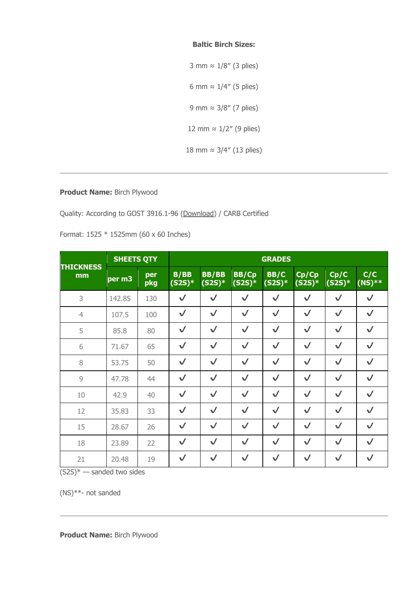## **Baltic Birch Sizes:**

3 mm ≈ 1/8″ (3 plies) 6 mm  $\approx 1/4''$  (5 plies) 9 mm ≈ 3/8″ (7 plies) 12 mm ≈ 1/2″ (9 plies) 18 mm ≈ 3/4″ (13 plies)

## **Product Name:** Birch Plywood

Quality: According to GOST 3916.1-96 (Download) / CARB Certified

Format: 1525 \* 1525mm (60 x 60 Inches)

| <b>THICKNESS</b><br>mm | <b>SHEETS QTY</b> |            | <b>GRADES</b>    |                          |                          |                  |                   |                  |                 |  |  |
|------------------------|-------------------|------------|------------------|--------------------------|--------------------------|------------------|-------------------|------------------|-----------------|--|--|
|                        | per m3            | per<br>pkg | B/BB<br>$(S2S)*$ | <b>BB/BB</b><br>$(S2S)*$ | <b>BB/Cp</b><br>$(S2S)*$ | BB/C<br>$(S2S)*$ | Cp/Cp<br>$(S2S)*$ | Cp/C<br>$(S2S)*$ | C/C<br>$(NS)**$ |  |  |
| 3                      | 142.85            | 130        | $\checkmark$     | $\checkmark$             | $\checkmark$             | $\checkmark$     | $\checkmark$      | $\checkmark$     | $\checkmark$    |  |  |
| $\overline{4}$         | 107.5             | 100        | $\checkmark$     | $\checkmark$             | $\checkmark$             | $\checkmark$     | $\checkmark$      | $\checkmark$     | $\checkmark$    |  |  |
| 5                      | 85.8              | 80         | $\checkmark$     | $\checkmark$             | $\checkmark$             | $\checkmark$     | $\checkmark$      | $\checkmark$     | $\checkmark$    |  |  |
| 6                      | 71.67             | 65         | $\checkmark$     | $\checkmark$             | $\checkmark$             | $\checkmark$     | $\checkmark$      | $\checkmark$     | $\checkmark$    |  |  |
| 8                      | 53.75             | 50         | $\checkmark$     | $\checkmark$             | $\checkmark$             | $\checkmark$     | $\checkmark$      | $\checkmark$     | $\checkmark$    |  |  |
| $\overline{9}$         | 47.78             | 44         | $\checkmark$     | $\checkmark$             | $\checkmark$             | $\checkmark$     | $\checkmark$      | $\checkmark$     | $\checkmark$    |  |  |
| 10                     | 42.9              | 40         | $\checkmark$     | $\checkmark$             | $\checkmark$             | $\checkmark$     | $\checkmark$      | $\checkmark$     | $\checkmark$    |  |  |
| 12                     | 35.83             | 33         | $\checkmark$     | $\checkmark$             | $\checkmark$             | $\checkmark$     | $\checkmark$      | $\checkmark$     | $\checkmark$    |  |  |
| 15                     | 28.67             | 26         | $\checkmark$     | $\checkmark$             | $\checkmark$             | $\checkmark$     | $\checkmark$      | $\checkmark$     | $\checkmark$    |  |  |
| 18                     | 23.89             | 22         | $\checkmark$     | $\checkmark$             | $\checkmark$             | $\sqrt{}$        | $\checkmark$      | $\checkmark$     | $\checkmark$    |  |  |
| 21                     | 20.48             | 19         | $\checkmark$     | $\checkmark$             | $\checkmark$             | $\checkmark$     | $\checkmark$      | $\sqrt{}$        | $\checkmark$    |  |  |

 $(S2S)^*$  — sanded two sides

(NS)\*\*- not sanded